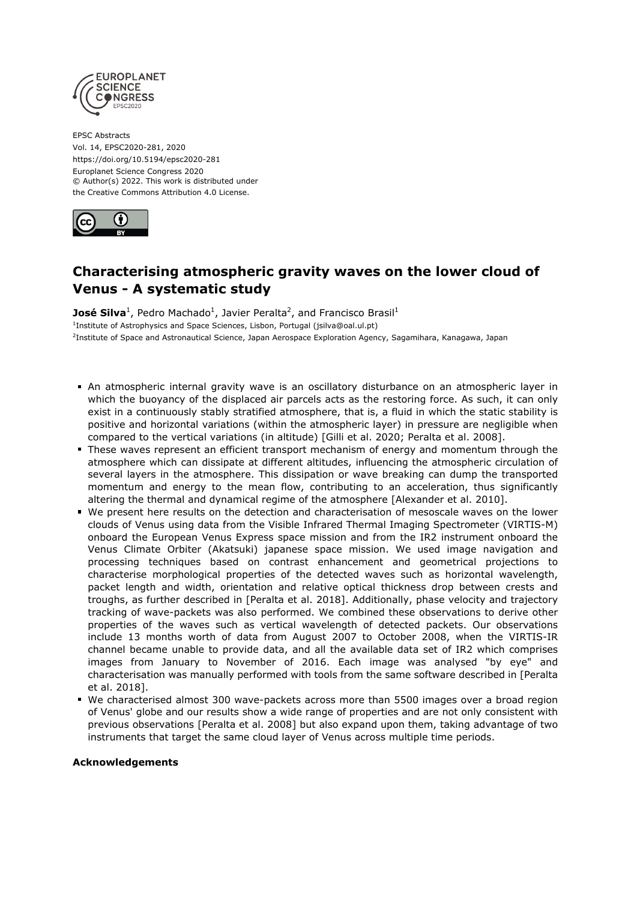

EPSC Abstracts Vol. 14, EPSC2020-281, 2020 https://doi.org/10.5194/epsc2020-281 Europlanet Science Congress 2020 © Author(s) 2022. This work is distributed under the Creative Commons Attribution 4.0 License.



## **Characterising atmospheric gravity waves on the lower cloud of Venus - A systematic study**

**José Silva**<sup>1</sup>, Pedro Machado<sup>1</sup>, Javier Peralta<sup>2</sup>, and Francisco Brasil<sup>1</sup> <sup>1</sup>Institute of Astrophysics and Space Sciences, Lisbon, Portugal (jsilva@oal.ul.pt) <sup>2</sup>Institute of Space and Astronautical Science, Japan Aerospace Exploration Agency, Sagamihara, Kanagawa, Japan

- An atmospheric internal gravity wave is an oscillatory disturbance on an atmospheric layer in which the buoyancy of the displaced air parcels acts as the restoring force. As such, it can only exist in a continuously stably stratified atmosphere, that is, a fluid in which the static stability is positive and horizontal variations (within the atmospheric layer) in pressure are negligible when compared to the vertical variations (in altitude) [Gilli et al. 2020; Peralta et al. 2008].
- These waves represent an efficient transport mechanism of energy and momentum through the atmosphere which can dissipate at different altitudes, influencing the atmospheric circulation of several layers in the atmosphere. This dissipation or wave breaking can dump the transported momentum and energy to the mean flow, contributing to an acceleration, thus significantly altering the thermal and dynamical regime of the atmosphere [Alexander et al. 2010].
- We present here results on the detection and characterisation of mesoscale waves on the lower clouds of Venus using data from the Visible Infrared Thermal Imaging Spectrometer (VIRTIS-M) onboard the European Venus Express space mission and from the IR2 instrument onboard the Venus Climate Orbiter (Akatsuki) japanese space mission. We used image navigation and processing techniques based on contrast enhancement and geometrical projections to characterise morphological properties of the detected waves such as horizontal wavelength, packet length and width, orientation and relative optical thickness drop between crests and troughs, as further described in [Peralta et al. 2018]. Additionally, phase velocity and trajectory tracking of wave-packets was also performed. We combined these observations to derive other properties of the waves such as vertical wavelength of detected packets. Our observations include 13 months worth of data from August 2007 to October 2008, when the VIRTIS-IR channel became unable to provide data, and all the available data set of IR2 which comprises images from January to November of 2016. Each image was analysed "by eye" and characterisation was manually performed with tools from the same software described in [Peralta et al. 2018].
- We characterised almost 300 wave-packets across more than 5500 images over a broad region of Venus' globe and our results show a wide range of properties and are not only consistent with previous observations [Peralta et al. 2008] but also expand upon them, taking advantage of two instruments that target the same cloud layer of Venus across multiple time periods.

## **Acknowledgements**